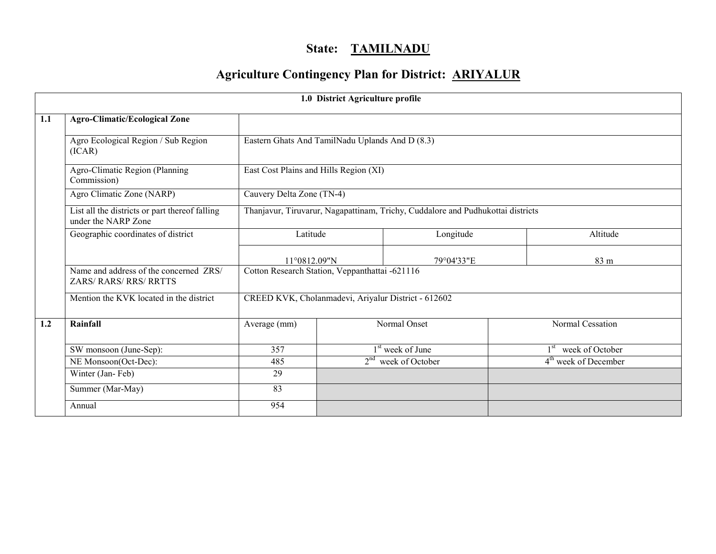# State: TAMILNADU

# Agriculture Contingency Plan for District: ARIYALUR

|     | 1.0 District Agriculture profile                                        |                                                     |  |                                                                                 |                                  |  |  |  |  |  |
|-----|-------------------------------------------------------------------------|-----------------------------------------------------|--|---------------------------------------------------------------------------------|----------------------------------|--|--|--|--|--|
| 1.1 | <b>Agro-Climatic/Ecological Zone</b>                                    |                                                     |  |                                                                                 |                                  |  |  |  |  |  |
|     | Agro Ecological Region / Sub Region<br>(ICAR)                           | Eastern Ghats And TamilNadu Uplands And D (8.3)     |  |                                                                                 |                                  |  |  |  |  |  |
|     | Agro-Climatic Region (Planning<br>Commission)                           | East Cost Plains and Hills Region (XI)              |  |                                                                                 |                                  |  |  |  |  |  |
|     | Agro Climatic Zone (NARP)                                               | Cauvery Delta Zone (TN-4)                           |  |                                                                                 |                                  |  |  |  |  |  |
|     | List all the districts or part thereof falling<br>under the NARP Zone   |                                                     |  | Thanjavur, Tiruvarur, Nagapattinam, Trichy, Cuddalore and Pudhukottai districts |                                  |  |  |  |  |  |
|     | Geographic coordinates of district                                      | Latitude                                            |  | Longitude                                                                       | Altitude                         |  |  |  |  |  |
|     |                                                                         | 11°0812.09"N                                        |  | 79°04'33"E                                                                      | $83 \text{ m}$                   |  |  |  |  |  |
|     | Name and address of the concerned ZRS/<br><b>ZARS/ RARS/ RRS/ RRTTS</b> | Cotton Research Station, Veppanthattai -621116      |  |                                                                                 |                                  |  |  |  |  |  |
|     | Mention the KVK located in the district                                 | CREED KVK, Cholanmadevi, Ariyalur District - 612602 |  |                                                                                 |                                  |  |  |  |  |  |
| 1.2 | Rainfall                                                                | Average (mm)                                        |  | Normal Onset                                                                    | Normal Cessation                 |  |  |  |  |  |
|     | SW monsoon (June-Sep):                                                  | $\overline{357}$                                    |  | 1 <sup>st</sup> week of June                                                    | 1 <sup>st</sup> week of October  |  |  |  |  |  |
|     | NE Monsoon(Oct-Dec):                                                    | 485                                                 |  | $2nd$ week of October                                                           | 4 <sup>th</sup> week of December |  |  |  |  |  |
|     | Winter (Jan-Feb)                                                        | 29                                                  |  |                                                                                 |                                  |  |  |  |  |  |
|     | Summer (Mar-May)                                                        | 83                                                  |  |                                                                                 |                                  |  |  |  |  |  |
|     | Annual                                                                  | 954                                                 |  |                                                                                 |                                  |  |  |  |  |  |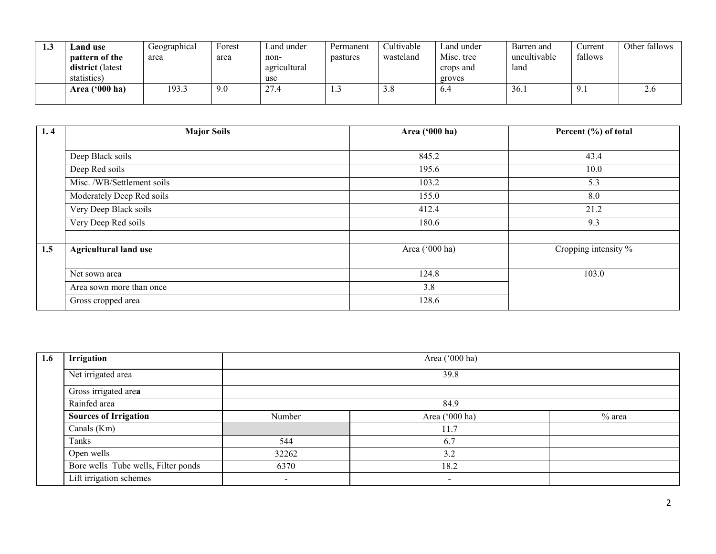| ل. 1 | and use.         | Geographical | Forest | Land under   | Permanent | Cultivable | Land under | Barren and   | Current      | Other fallows |
|------|------------------|--------------|--------|--------------|-----------|------------|------------|--------------|--------------|---------------|
|      | pattern of the   | area         | area   | non-         | pastures  | wasteland  | Misc. tree | uncultivable | fallows      |               |
|      | district (latest |              |        | agricultural |           |            | crops and  | land         |              |               |
|      | statistics)      |              |        | use          |           |            | groves     |              |              |               |
|      | Area $('000 ha)$ | 193.3        | 9.0    | 27.4         | ر…        | ە.د        | 0.4        | 36.1         | . <i>.</i> . | $\angle 0$    |
|      |                  |              |        |              |           |            |            |              |              |               |

| 1.4 | <b>Major Soils</b>           | Area ('000 ha) | Percent (%) of total             |
|-----|------------------------------|----------------|----------------------------------|
|     |                              |                |                                  |
|     | Deep Black soils             | 845.2          | 43.4                             |
|     | Deep Red soils               | 195.6          | 10.0                             |
|     | Misc. /WB/Settlement soils   | 103.2          | 5.3                              |
|     | Moderately Deep Red soils    | 155.0          | 8.0                              |
|     | Very Deep Black soils        | 412.4          | 21.2                             |
|     | Very Deep Red soils          | 180.6          | 9.3                              |
|     |                              |                |                                  |
| 1.5 | <b>Agricultural land use</b> | Area ('000 ha) | Cropping intensity $\frac{6}{6}$ |
|     |                              |                |                                  |
|     | Net sown area                | 124.8          | 103.0                            |
|     | Area sown more than once     | 3.8            |                                  |
|     | Gross cropped area           | 128.6          |                                  |

| 1.6 | Irrigation                          | Area ('000 ha)           |                          |          |  |  |  |  |  |  |
|-----|-------------------------------------|--------------------------|--------------------------|----------|--|--|--|--|--|--|
|     | Net irrigated area                  |                          | 39.8                     |          |  |  |  |  |  |  |
|     | Gross irrigated area                |                          |                          |          |  |  |  |  |  |  |
|     | Rainfed area                        |                          |                          |          |  |  |  |  |  |  |
|     | <b>Sources of Irrigation</b>        | Number                   | Area ('000 ha)           | $%$ area |  |  |  |  |  |  |
|     | Canals (Km)                         |                          | 11.7                     |          |  |  |  |  |  |  |
|     | Tanks                               | 544                      | 6.7                      |          |  |  |  |  |  |  |
|     | Open wells                          | 32262                    | 3.2                      |          |  |  |  |  |  |  |
|     | Bore wells Tube wells, Filter ponds | 6370                     | 18.2                     |          |  |  |  |  |  |  |
|     | Lift irrigation schemes             | $\overline{\phantom{a}}$ | $\overline{\phantom{a}}$ |          |  |  |  |  |  |  |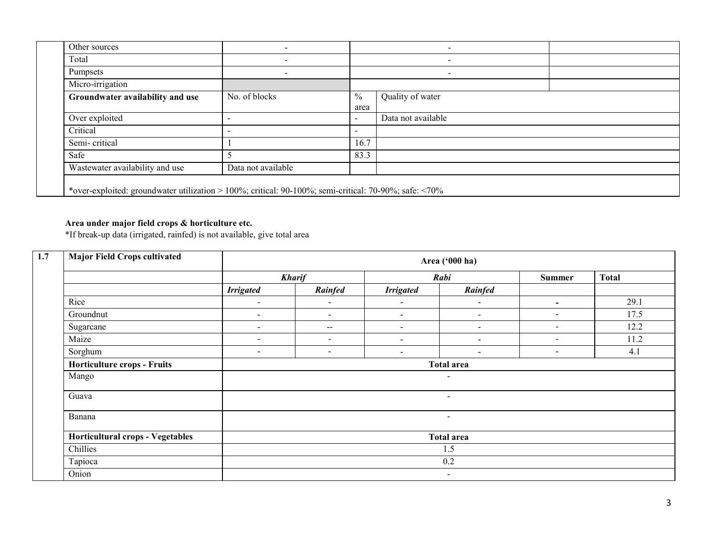| Other sources                                                                                         |                          |               |                          |  |  |  |  |  |
|-------------------------------------------------------------------------------------------------------|--------------------------|---------------|--------------------------|--|--|--|--|--|
| Total                                                                                                 | -                        |               |                          |  |  |  |  |  |
| Pumpsets                                                                                              | $\overline{\phantom{a}}$ |               | $\overline{\phantom{a}}$ |  |  |  |  |  |
| Micro-irrigation                                                                                      |                          |               |                          |  |  |  |  |  |
| Groundwater availability and use                                                                      | No. of blocks            | $\frac{0}{0}$ | Quality of water         |  |  |  |  |  |
|                                                                                                       |                          | area          |                          |  |  |  |  |  |
| Over exploited                                                                                        | $\overline{\phantom{a}}$ | $\sim$        | Data not available       |  |  |  |  |  |
| Critical                                                                                              | $\overline{\phantom{a}}$ | $\sim$        |                          |  |  |  |  |  |
| Semi-critical                                                                                         |                          | 16.7          |                          |  |  |  |  |  |
| Safe                                                                                                  |                          | 83.3          |                          |  |  |  |  |  |
| Wastewater availability and use                                                                       | Data not available       |               |                          |  |  |  |  |  |
| *over-exploited: groundwater utilization > 100%; critical: 90-100%; semi-critical: 70-90%; safe: <70% |                          |               |                          |  |  |  |  |  |

#### Area under major field crops & horticulture etc.

\*If break-up data (irrigated, rainfed) is not available, give total area

| 1.7 | <b>Major Field Crops cultivated</b> | Area ('000 ha)           |                          |                          |                          |                          |              |  |  |  |  |
|-----|-------------------------------------|--------------------------|--------------------------|--------------------------|--------------------------|--------------------------|--------------|--|--|--|--|
|     |                                     |                          | <b>Kharif</b>            |                          | Rabi                     | <b>Summer</b>            | <b>Total</b> |  |  |  |  |
|     |                                     | <b>Irrigated</b>         | Rainfed                  | <b>Irrigated</b>         | Rainfed                  |                          |              |  |  |  |  |
|     | Rice                                | $\overline{\phantom{a}}$ | $\blacksquare$           | $\blacksquare$           | $\overline{\phantom{a}}$ |                          | 29.1         |  |  |  |  |
|     | Groundnut                           | $\sim$                   | $\sim$                   | $\blacksquare$           | $\overline{\phantom{a}}$ | $\sim$                   | 17.5         |  |  |  |  |
|     | Sugarcane                           | $\,$ $\,$                | $\overline{\phantom{m}}$ | $\overline{\phantom{0}}$ | $\sim$                   | $\overline{\phantom{a}}$ | 12.2         |  |  |  |  |
|     | Maize                               | $\sim$                   | $\sim$                   | $\overline{\phantom{a}}$ | $\overline{\phantom{a}}$ | $\overline{\phantom{a}}$ | 11.2         |  |  |  |  |
|     | Sorghum                             | $\overline{\phantom{a}}$ | $\sim$                   | $\overline{\phantom{0}}$ | $\overline{\phantom{a}}$ | $\overline{\phantom{a}}$ | 4.1          |  |  |  |  |
|     | <b>Horticulture crops - Fruits</b>  | <b>Total area</b>        |                          |                          |                          |                          |              |  |  |  |  |
|     | Mango                               |                          |                          |                          | $\overline{\phantom{a}}$ |                          |              |  |  |  |  |
|     | Guava                               |                          |                          |                          | $\sim$                   |                          |              |  |  |  |  |
|     | Banana                              |                          |                          |                          | $\sim$                   |                          |              |  |  |  |  |
|     | Horticultural crops - Vegetables    |                          |                          |                          | <b>Total area</b>        |                          |              |  |  |  |  |
|     | Chillies                            |                          | 1.5                      |                          |                          |                          |              |  |  |  |  |
|     | Tapioca                             |                          |                          |                          | 0.2                      |                          |              |  |  |  |  |
|     | Onion                               |                          | $\sim$                   |                          |                          |                          |              |  |  |  |  |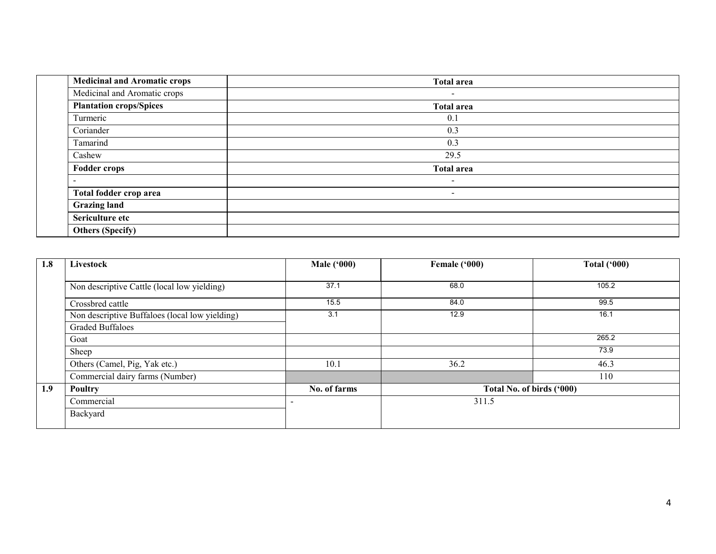| <b>Medicinal and Aromatic crops</b> | <b>Total area</b>        |
|-------------------------------------|--------------------------|
| Medicinal and Aromatic crops        | $\overline{\phantom{a}}$ |
| <b>Plantation crops/Spices</b>      | <b>Total area</b>        |
| Turmeric                            | 0.1                      |
| Coriander                           | 0.3                      |
| Tamarind                            | 0.3                      |
| Cashew                              | 29.5                     |
| <b>Fodder crops</b>                 | <b>Total area</b>        |
|                                     | $\overline{\phantom{a}}$ |
| Total fodder crop area              | $\blacksquare$           |
| <b>Grazing land</b>                 |                          |
| Sericulture etc                     |                          |
| <b>Others (Specify)</b>             |                          |

| 1.8 | Livestock                                      | <b>Male</b> ('000) | Female ('000)             | <b>Total ('000)</b> |
|-----|------------------------------------------------|--------------------|---------------------------|---------------------|
|     |                                                |                    |                           |                     |
|     | Non descriptive Cattle (local low yielding)    | 37.1               | 68.0                      | 105.2               |
|     | Crossbred cattle                               | 15.5               | 84.0                      | 99.5                |
|     | Non descriptive Buffaloes (local low yielding) | 3.1                | 12.9                      | 16.1                |
|     | <b>Graded Buffaloes</b>                        |                    |                           |                     |
|     | Goat                                           |                    |                           | 265.2               |
|     | Sheep                                          |                    |                           | 73.9                |
|     | Others (Camel, Pig, Yak etc.)                  | 10.1               | 36.2                      | 46.3                |
|     | Commercial dairy farms (Number)                |                    |                           | 110                 |
| 1.9 | Poultry                                        | No. of farms       | Total No. of birds ('000) |                     |
|     | Commercial                                     |                    | 311.5                     |                     |
|     | Backyard                                       |                    |                           |                     |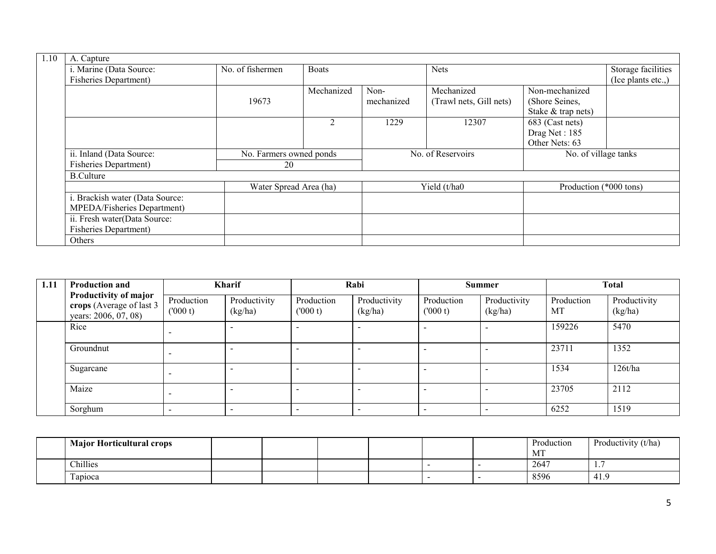| 1.10 | A. Capture                      |                         |                             |                    |                         |                        |                                          |
|------|---------------------------------|-------------------------|-----------------------------|--------------------|-------------------------|------------------------|------------------------------------------|
|      | i. Marine (Data Source:         | No. of fishermen        | <b>Boats</b>                |                    | <b>Nets</b>             |                        | Storage facilities<br>(Ice plants etc.,) |
|      | <b>Fisheries Department)</b>    |                         |                             |                    |                         |                        |                                          |
|      |                                 |                         | Mechanized                  | Mechanized<br>Non- |                         | Non-mechanized         |                                          |
|      |                                 | 19673                   |                             | mechanized         | (Trawl nets, Gill nets) | (Shore Seines,         |                                          |
|      |                                 |                         |                             |                    |                         | Stake & trap nets)     |                                          |
|      |                                 |                         | $\mathcal{D}_{\mathcal{L}}$ | 1229               | 12307                   | 683 (Cast nets)        |                                          |
|      |                                 |                         |                             |                    |                         | Drag Net: 185          |                                          |
|      |                                 |                         |                             |                    |                         | Other Nets: 63         |                                          |
|      | ii. Inland (Data Source:        | No. Farmers owned ponds |                             |                    | No. of Reservoirs       | No. of village tanks   |                                          |
|      | <b>Fisheries Department)</b>    | 20                      |                             |                    |                         |                        |                                          |
|      | <b>B.Culture</b>                |                         |                             |                    |                         |                        |                                          |
|      |                                 | Water Spread Area (ha)  |                             |                    | Yield (t/ha0            | Production (*000 tons) |                                          |
|      | i. Brackish water (Data Source: |                         |                             |                    |                         |                        |                                          |
|      | MPEDA/Fisheries Department)     |                         |                             |                    |                         |                        |                                          |
|      | ii. Fresh water(Data Source:    |                         |                             |                    |                         |                        |                                          |
|      | <b>Fisheries Department)</b>    |                         |                             |                    |                         |                        |                                          |
|      | Others                          |                         |                             |                    |                         |                        |                                          |

| 1.11 | <b>Production and</b>                                                     | <b>Kharif</b>            |                          |                          | Rabi                     |                       | <b>Summer</b>            |                  | <b>Total</b>            |  |
|------|---------------------------------------------------------------------------|--------------------------|--------------------------|--------------------------|--------------------------|-----------------------|--------------------------|------------------|-------------------------|--|
|      | Productivity of major<br>crops (Average of last 3<br>years: 2006, 07, 08) | Production<br>(000 t)    | Productivity<br>(kg/ha)  | Production<br>(000 t)    | Productivity<br>(kg/ha)  | Production<br>(000 t) | Productivity<br>(kg/ha)  | Production<br>МT | Productivity<br>(kg/ha) |  |
|      | Rice                                                                      | $\overline{\phantom{a}}$ | $\overline{\phantom{a}}$ |                          | $\overline{\phantom{0}}$ |                       |                          | 159226           | 5470                    |  |
|      | Groundnut                                                                 |                          | <b>-</b>                 | $\overline{\phantom{0}}$ | $\overline{\phantom{0}}$ |                       | -                        | 23711            | 1352                    |  |
|      | Sugarcane                                                                 | $\overline{\phantom{a}}$ | ۰.                       |                          | $\overline{\phantom{0}}$ |                       | $\overline{\phantom{0}}$ | 1534             | 126t/ha                 |  |
|      | Maize                                                                     | $\overline{\phantom{a}}$ | <b>-</b>                 | $\overline{\phantom{0}}$ | $\overline{\phantom{0}}$ |                       | -                        | 23705            | 2112                    |  |
|      | Sorghum                                                                   | $\overline{\phantom{0}}$ | -                        | $\overline{\phantom{0}}$ | $\overline{\phantom{a}}$ |                       | $\overline{\phantom{a}}$ | 6252             | 1519                    |  |

| <b>Major Horticultural crops</b> |  |  |  | Production<br>MI | Productivity (t/ha) |
|----------------------------------|--|--|--|------------------|---------------------|
| Chillies                         |  |  |  | 2647             | . .                 |
| $\sim$<br>l apioca               |  |  |  | 8596             | 41.9                |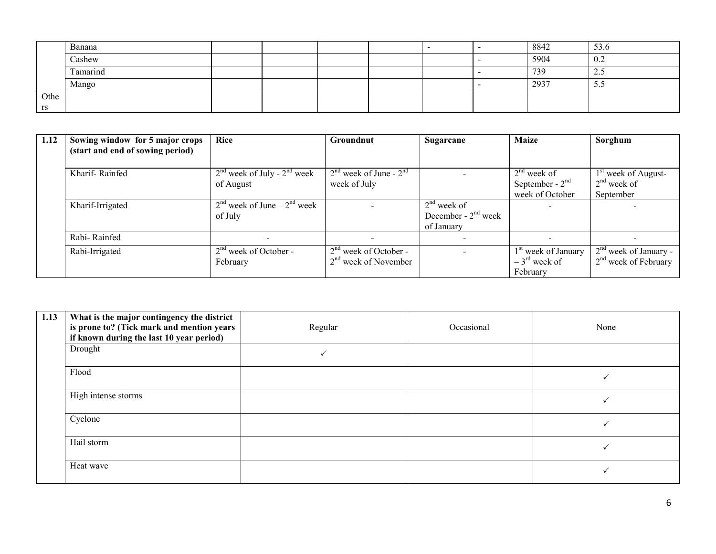|      | Banana                   |  |  |  | 8842 | 53.6           |
|------|--------------------------|--|--|--|------|----------------|
|      | Cashew                   |  |  |  | 5904 | 0.2            |
|      | $\mathbf{r}$<br>Tamarind |  |  |  | 739  | $\sim$<br>ن کے |
|      | Mango                    |  |  |  | 2937 | ر. ر           |
| Othe |                          |  |  |  |      |                |
| rs   |                          |  |  |  |      |                |

| 1.12 | Sowing window for 5 major crops  | Rice                            | <b>Groundnut</b>           | Sugarcane             | <b>Maize</b>                    | Sorghum                 |
|------|----------------------------------|---------------------------------|----------------------------|-----------------------|---------------------------------|-------------------------|
|      | (start and end of sowing period) |                                 |                            |                       |                                 |                         |
|      |                                  |                                 |                            |                       |                                 |                         |
|      | Kharif-Rainfed                   | $2nd$ week of July - $2nd$ week | $2nd$ week of June - $2nd$ |                       | $2nd$ week of                   | $1st$ week of August-   |
|      |                                  | of August                       | week of July               |                       | September - $2nd$               | $2nd$ week of           |
|      |                                  |                                 |                            |                       | week of October                 | September               |
|      | Kharif-Irrigated                 | $2nd$ week of June – $2nd$ week |                            | $2nd$ week of         |                                 |                         |
|      |                                  | of July                         |                            | December - $2nd$ week |                                 |                         |
|      |                                  |                                 |                            | of January            |                                 |                         |
|      | Rabi-Rainfed                     |                                 |                            |                       |                                 | $\qquad \qquad$         |
|      | Rabi-Irrigated                   | $2nd$ week of October -         | $2nd$ week of October -    |                       | 1 <sup>st</sup> week of January | $2nd$ week of January - |
|      |                                  | February                        | $2nd$ week of November     |                       | $-3^{\text{rd}}$ week of        | $2nd$ week of February  |
|      |                                  |                                 |                            |                       | February                        |                         |

| 1.13 | What is the major contingency the district<br>is prone to? (Tick mark and mention years<br>if known during the last 10 year period) | Regular | Occasional | None |
|------|-------------------------------------------------------------------------------------------------------------------------------------|---------|------------|------|
|      | Drought                                                                                                                             |         |            |      |
|      | Flood                                                                                                                               |         |            |      |
|      | High intense storms                                                                                                                 |         |            |      |
|      | Cyclone                                                                                                                             |         |            |      |
|      | Hail storm                                                                                                                          |         |            |      |
|      | Heat wave                                                                                                                           |         |            |      |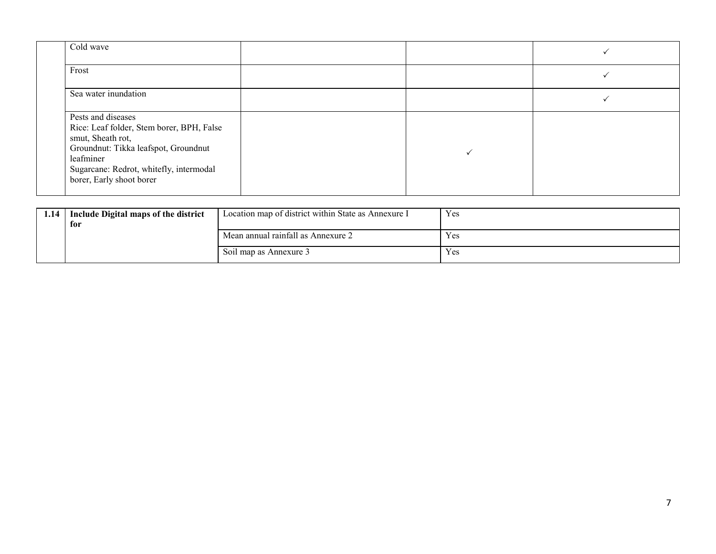| Cold wave                                                                                                                                                                                                        |  |  |
|------------------------------------------------------------------------------------------------------------------------------------------------------------------------------------------------------------------|--|--|
| Frost                                                                                                                                                                                                            |  |  |
| Sea water inundation                                                                                                                                                                                             |  |  |
| Pests and diseases<br>Rice: Leaf folder, Stem borer, BPH, False<br>smut, Sheath rot,<br>Groundnut: Tikka leafspot, Groundnut<br>leafminer<br>Sugarcane: Redrot, whitefly, intermodal<br>borer, Early shoot borer |  |  |

| 1.14 | Include Digital maps of the district | Location map of district within State as Annexure I | Yes |
|------|--------------------------------------|-----------------------------------------------------|-----|
|      | for                                  |                                                     |     |
|      |                                      | Mean annual rainfall as Annexure 2                  | Yes |
|      |                                      | Soil map as Annexure 3                              | Yes |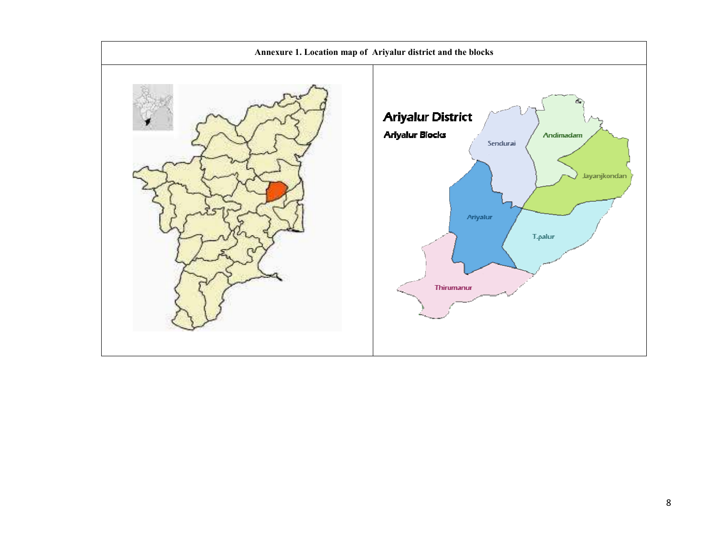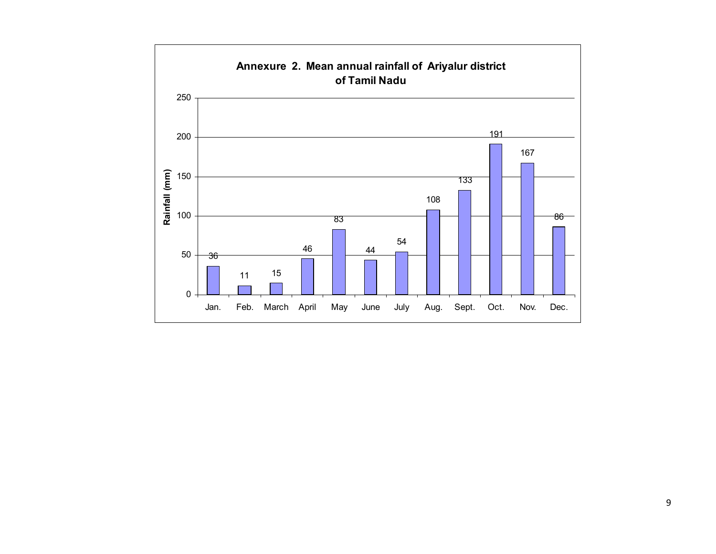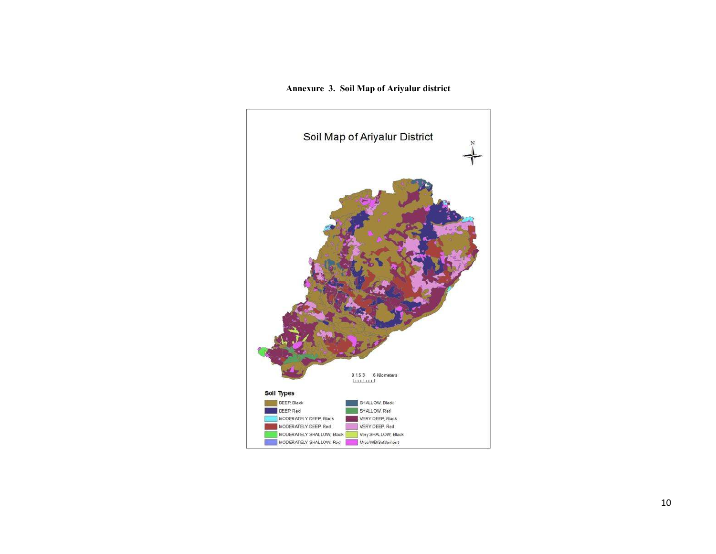Annexure 3. Soil Map of Ariyalur district

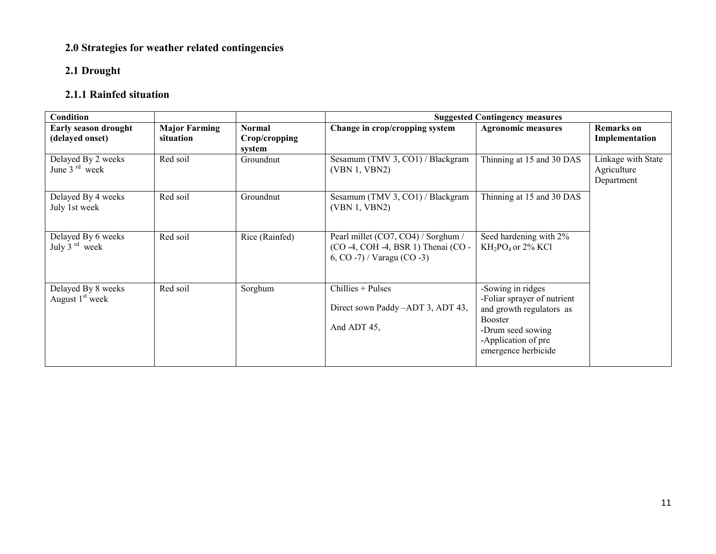# 2.0 Strategies for weather related contingencies

### 2.1 Drought

# 2.1.1 Rainfed situation

| <b>Condition</b>                          |                                   |                                          | <b>Suggested Contingency measures</b>                                                                           |                                                                                                                                                                   |                                                 |  |
|-------------------------------------------|-----------------------------------|------------------------------------------|-----------------------------------------------------------------------------------------------------------------|-------------------------------------------------------------------------------------------------------------------------------------------------------------------|-------------------------------------------------|--|
| Early season drought<br>(delayed onset)   | <b>Major Farming</b><br>situation | <b>Normal</b><br>Crop/cropping<br>system | Change in crop/cropping system                                                                                  | <b>Agronomic measures</b>                                                                                                                                         | <b>Remarks</b> on<br>Implementation             |  |
| Delayed By 2 weeks<br>June $3rd$ week     | Red soil                          | Groundnut                                | Sesamum (TMV 3, CO1) / Blackgram<br>(VBN 1, VBN2)                                                               | Thinning at 15 and 30 DAS                                                                                                                                         | Linkage with State<br>Agriculture<br>Department |  |
| Delayed By 4 weeks<br>July 1st week       | Red soil                          | Groundnut                                | Sesamum (TMV 3, CO1) / Blackgram<br>(VBN 1, VBN2)                                                               | Thinning at 15 and 30 DAS                                                                                                                                         |                                                 |  |
| Delayed By 6 weeks<br>July 3 $^{rd}$ week | Red soil                          | Rice (Rainfed)                           | Pearl millet (CO7, CO4) / Sorghum /<br>(CO -4, COH -4, BSR 1) Thenai (CO -<br>6, $CO - 7$ ) / Varagu $(CO - 3)$ | Seed hardening with 2%<br>KH <sub>2</sub> PO <sub>4</sub> or 2% KCl                                                                                               |                                                 |  |
| Delayed By 8 weeks<br>August $1st$ week   | Red soil                          | Sorghum                                  | $Chillies + Pulses$<br>Direct sown Paddy -ADT 3, ADT 43,<br>And ADT 45,                                         | -Sowing in ridges<br>-Foliar sprayer of nutrient<br>and growth regulators as<br><b>Booster</b><br>-Drum seed sowing<br>-Application of pre<br>emergence herbicide |                                                 |  |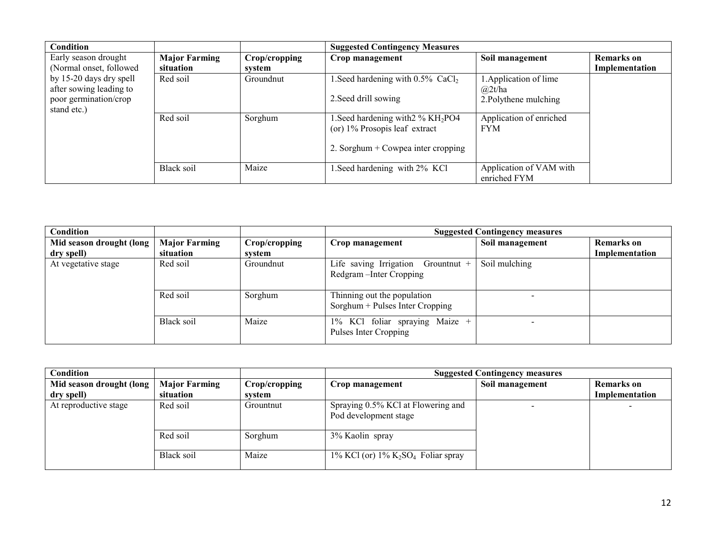|                      |                        | <b>Suggested Contingency Measures</b>           |                                                                                                                                                                              |                                                                                  |
|----------------------|------------------------|-------------------------------------------------|------------------------------------------------------------------------------------------------------------------------------------------------------------------------------|----------------------------------------------------------------------------------|
| <b>Major Farming</b> | Crop/cropping          | Crop management                                 | Soil management                                                                                                                                                              | <b>Remarks</b> on                                                                |
| situation            | system                 |                                                 |                                                                                                                                                                              | Implementation                                                                   |
| Red soil             | Groundnut              | Seed hardening with $0.5\%$ CaCl <sub>2</sub> . | Application of lime                                                                                                                                                          |                                                                                  |
|                      |                        |                                                 | $\omega$ 2t/ha                                                                                                                                                               |                                                                                  |
|                      |                        |                                                 | 2. Polythene mulching                                                                                                                                                        |                                                                                  |
|                      |                        |                                                 |                                                                                                                                                                              |                                                                                  |
|                      |                        |                                                 |                                                                                                                                                                              |                                                                                  |
|                      |                        |                                                 |                                                                                                                                                                              |                                                                                  |
|                      |                        |                                                 |                                                                                                                                                                              |                                                                                  |
|                      |                        |                                                 |                                                                                                                                                                              |                                                                                  |
|                      |                        |                                                 |                                                                                                                                                                              |                                                                                  |
|                      |                        |                                                 |                                                                                                                                                                              |                                                                                  |
|                      | Red soil<br>Black soil | Sorghum<br>Maize                                | 2. Seed drill sowing<br>.Seed hardening with $2\%$ KH <sub>2</sub> PO4<br>(or) 1% Prosopis leaf extract<br>2. Sorghum + Cowpea inter cropping<br>.Seed hardening with 2% KCl | Application of enriched<br><b>FYM</b><br>Application of VAM with<br>enriched FYM |

| Condition                |                      |               |                                                                   | <b>Suggested Contingency measures</b> |                   |
|--------------------------|----------------------|---------------|-------------------------------------------------------------------|---------------------------------------|-------------------|
| Mid season drought (long | <b>Major Farming</b> | Crop/cropping | Crop management                                                   | Soil management                       | <b>Remarks</b> on |
| dry spell)               | situation            | system        |                                                                   |                                       | Implementation    |
| At vegetative stage      | Red soil             | Groundnut     | Life saving Irrigation<br>Grountnut +<br>Redgram - Inter Cropping | Soil mulching                         |                   |
|                          | Red soil             | Sorghum       | Thinning out the population<br>Sorghum + Pulses Inter Cropping    |                                       |                   |
|                          | Black soil           | Maize         | 1% KCl foliar spraying<br>Maize +<br>Pulses Inter Cropping        |                                       |                   |

| Condition                |                      |               | <b>Suggested Contingency measures</b>                            |                 |                   |  |
|--------------------------|----------------------|---------------|------------------------------------------------------------------|-----------------|-------------------|--|
| Mid season drought (long | <b>Major Farming</b> | Crop/cropping | Crop management                                                  | Soil management | <b>Remarks</b> on |  |
| dry spell)               | situation            | svstem        |                                                                  |                 | Implementation    |  |
| At reproductive stage    | Red soil             | Grountnut     | Spraying 0.5% KCl at Flowering and<br>Pod development stage      |                 |                   |  |
|                          | Red soil             | Sorghum       | 3% Kaolin spray                                                  |                 |                   |  |
|                          | Black soil           | Maize         | $1\%$ KCl (or) $1\%$ K <sub>2</sub> SO <sub>4</sub> Foliar spray |                 |                   |  |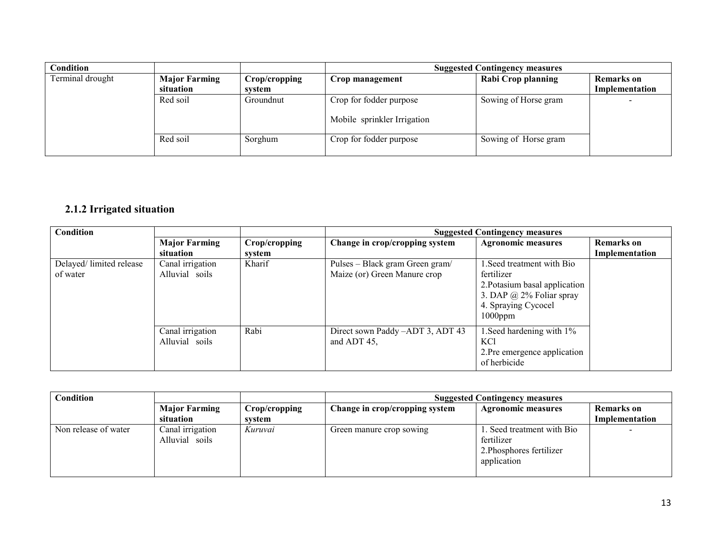| <b>Condition</b> |                                   |                         | <b>Suggested Contingency measures</b>                  |                      |                                     |  |
|------------------|-----------------------------------|-------------------------|--------------------------------------------------------|----------------------|-------------------------------------|--|
| Terminal drought | <b>Major Farming</b><br>situation | Crop/cropping<br>system | Crop management                                        | Rabi Crop planning   | <b>Remarks</b> on<br>Implementation |  |
|                  | Red soil                          | Groundnut               | Crop for fodder purpose<br>Mobile sprinkler Irrigation | Sowing of Horse gram |                                     |  |
|                  | Red soil                          | Sorghum                 | Crop for fodder purpose                                | Sowing of Horse gram |                                     |  |

## 2.1.2 Irrigated situation

| Condition                           |                                    |                         | <b>Suggested Contingency measures</b>                           |                                                                                                                                                   |                                     |
|-------------------------------------|------------------------------------|-------------------------|-----------------------------------------------------------------|---------------------------------------------------------------------------------------------------------------------------------------------------|-------------------------------------|
|                                     | <b>Major Farming</b><br>situation  | Crop/cropping<br>system | Change in crop/cropping system                                  | <b>Agronomic measures</b>                                                                                                                         | <b>Remarks</b> on<br>Implementation |
| Delayed/limited release<br>of water | Canal irrigation<br>Alluvial soils | Kharif                  | Pulses – Black gram Green gram/<br>Maize (or) Green Manure crop | 1. Seed treatment with Bio<br>fertilizer<br>2. Potasium basal application<br>3. DAP $\omega$ 2% Foliar spray<br>4. Spraying Cycocel<br>$1000$ ppm |                                     |
|                                     | Canal irrigation<br>Alluvial soils | Rabi                    | Direct sown Paddy -ADT 3, ADT 43<br>and ADT 45,                 | 1. Seed hardening with 1%<br>KCl<br>2. Pre emergence application<br>of herbicide                                                                  |                                     |

| Condition            |                                    |               | <b>Suggested Contingency measures</b> |                                                                                     |                   |  |
|----------------------|------------------------------------|---------------|---------------------------------------|-------------------------------------------------------------------------------------|-------------------|--|
|                      | <b>Major Farming</b>               | Crop/cropping | Change in crop/cropping system        | <b>Agronomic measures</b>                                                           | <b>Remarks</b> on |  |
|                      | situation                          | system        |                                       |                                                                                     | Implementation    |  |
| Non release of water | Canal irrigation<br>Alluvial soils | Kuruvai       | Green manure crop sowing              | 1. Seed treatment with Bio<br>fertilizer<br>2. Phosphores fertilizer<br>application |                   |  |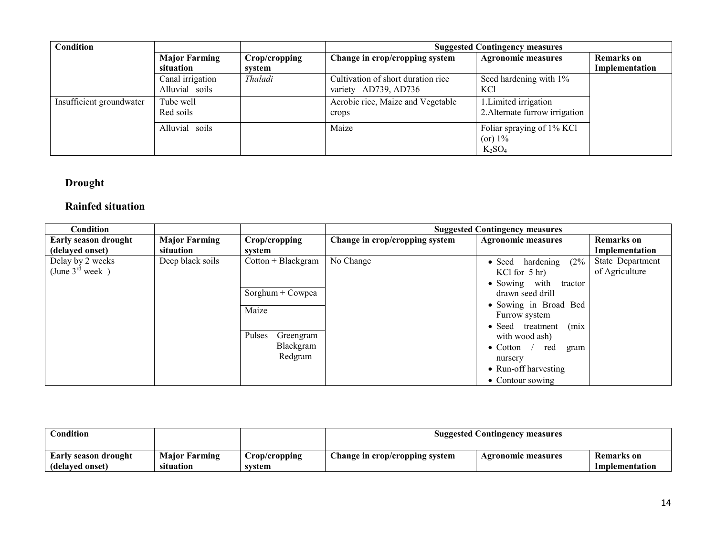| Condition                |                                    |               | <b>Suggested Contingency measures</b>                       |                                                         |                   |  |
|--------------------------|------------------------------------|---------------|-------------------------------------------------------------|---------------------------------------------------------|-------------------|--|
|                          | <b>Major Farming</b>               | Crop/cropping | Change in crop/cropping system                              | <b>Agronomic measures</b>                               | <b>Remarks</b> on |  |
|                          | situation                          | system        |                                                             |                                                         | Implementation    |  |
|                          | Canal irrigation<br>Alluvial soils | Thaladi       | Cultivation of short duration rice<br>variety -AD739, AD736 | Seed hardening with 1%<br>KCl                           |                   |  |
| Insufficient groundwater | Tube well<br>Red soils             |               | Aerobic rice, Maize and Vegetable<br>crops                  | 1. Limited irrigation<br>2. Alternate furrow irrigation |                   |  |
|                          | Alluvial soils                     |               | Maize                                                       | Foliar spraying of 1% KCl<br>$(or) 1\%$<br>$K_2SO_4$    |                   |  |

#### Drought

## Rainfed situation

| <b>Condition</b>                               |                                   |                                                                                                 |                                | <b>Suggested Contingency measures</b>                                                                                                                                                                                                                                                                    |                                     |
|------------------------------------------------|-----------------------------------|-------------------------------------------------------------------------------------------------|--------------------------------|----------------------------------------------------------------------------------------------------------------------------------------------------------------------------------------------------------------------------------------------------------------------------------------------------------|-------------------------------------|
| <b>Early season drought</b><br>(delayed onset) | <b>Major Farming</b><br>situation | Crop/cropping<br>system                                                                         | Change in crop/cropping system | <b>Agronomic measures</b>                                                                                                                                                                                                                                                                                | <b>Remarks</b> on<br>Implementation |
| Delay by 2 weeks<br>(June $3^{rd}$ week)       | Deep black soils                  | $Cottom + Blackgram$<br>Sorghum + Cowpea<br>Maize<br>Pulses – Greengram<br>Blackgram<br>Redgram | No Change                      | (2%<br>$\bullet$ Seed hardening<br>KCl for $5 \text{ hr}$ )<br>$\bullet$ Sowing with<br>tractor<br>drawn seed drill<br>• Sowing in Broad Bed<br>Furrow system<br>(mix)<br>• Seed treatment<br>with wood ash)<br>$\bullet$ Cotton /<br>red<br>gram<br>nursery<br>• Run-off harvesting<br>• Contour sowing | State Department<br>of Agriculture  |

| <b>Condition</b>     |                      |               | <b>Suggested Contingency measures</b> |                           |                |
|----------------------|----------------------|---------------|---------------------------------------|---------------------------|----------------|
| Early season drought | <b>Major Farming</b> | Crop/cropping | Change in crop/cropping system        | <b>Agronomic measures</b> | Remarks on     |
| (delayed onset)      | situation            | system        |                                       |                           | Implementation |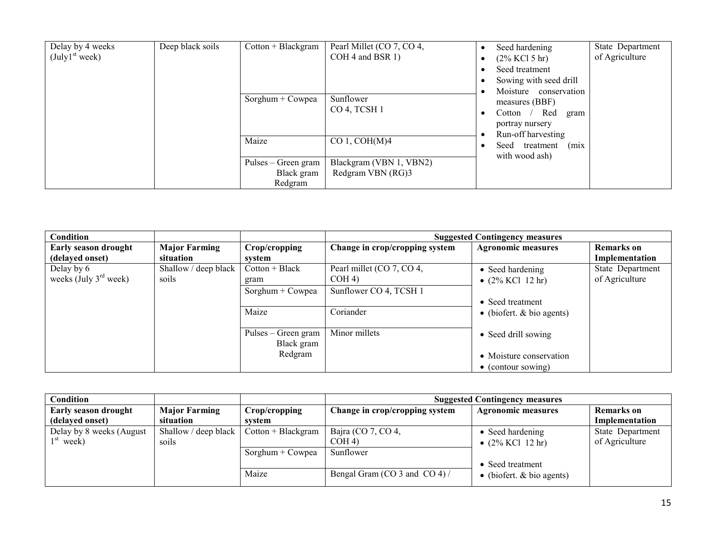| Delay by 4 weeks<br>(July1 <sup>st</sup> week) | Deep black soils | $Cottom + Blackgram$ | Pearl Millet (CO 7, CO 4,<br>COH 4 and BSR 1) | Seed hardening<br>$(2\%$ KCl 5 hr)<br>Seed treatment<br>Sowing with seed drill<br>Moisture conservation<br>measures (BBF)<br>Red gram<br>Cotton<br>portray nursery<br>Run-off harvesting<br>(mix)<br>Seed<br>treatment<br>with wood ash) |  | State Department<br>of Agriculture |
|------------------------------------------------|------------------|----------------------|-----------------------------------------------|------------------------------------------------------------------------------------------------------------------------------------------------------------------------------------------------------------------------------------------|--|------------------------------------|
|                                                | Maize            | Sorghum + Cowpea     | Sunflower<br>CO 4, TCSH 1                     |                                                                                                                                                                                                                                          |  |                                    |
|                                                |                  |                      | $CO 1$ , $COH(M)4$                            |                                                                                                                                                                                                                                          |  |                                    |
|                                                |                  | Pulses – Green gram  | Blackgram (VBN 1, VBN2)                       |                                                                                                                                                                                                                                          |  |                                    |
|                                                |                  | Black gram           | Redgram VBN (RG)3                             |                                                                                                                                                                                                                                          |  |                                    |
|                                                |                  | Redgram              |                                               |                                                                                                                                                                                                                                          |  |                                    |

| Condition                   |                      |                                   |                                | <b>Suggested Contingency measures</b> |                   |
|-----------------------------|----------------------|-----------------------------------|--------------------------------|---------------------------------------|-------------------|
| <b>Early season drought</b> | <b>Major Farming</b> | Crop/cropping                     | Change in crop/cropping system | <b>Agronomic measures</b>             | <b>Remarks</b> on |
| (delayed onset)             | situation            | svstem                            |                                |                                       | Implementation    |
| Delay by 6                  | Shallow / deep black | $Cotton + Black$                  | Pearl millet (CO 7, CO 4,      | • Seed hardening                      | State Department  |
| weeks (July $3rd$ week)     | soils                | gram                              | COH <sub>4</sub>               | • $(2\%$ KCl 12 hr)                   | of Agriculture    |
|                             |                      | Sorghum + Cowpea                  | Sunflower CO 4, TCSH 1         |                                       |                   |
|                             |                      |                                   |                                | • Seed treatment                      |                   |
|                             |                      | Maize                             | Coriander                      | • (biofert. $& bio agents$ )          |                   |
|                             |                      | Pulses – Green gram<br>Black gram | Minor millets                  | • Seed drill sowing                   |                   |
|                             |                      | Redgram                           |                                | • Moisture conservation               |                   |
|                             |                      |                                   |                                | $\bullet$ (contour sowing)            |                   |

| Condition                   |                              |                      | <b>Suggested Contingency measures</b> |                              |                   |  |
|-----------------------------|------------------------------|----------------------|---------------------------------------|------------------------------|-------------------|--|
| <b>Early season drought</b> | <b>Major Farming</b>         | Crop/cropping        | Change in crop/cropping system        | <b>Agronomic measures</b>    | <b>Remarks</b> on |  |
| (delayed onset)             | situation                    | svstem               |                                       |                              | Implementation    |  |
| Delay by 8 weeks (August)   | Shallow / deep black $\vert$ | $Cottom + Blackgram$ | Bajra (CO 7, CO 4,                    | • Seed hardening             | State Department  |  |
| $1st$ week)                 | soils                        |                      | COH <sub>4</sub>                      | • $(2\%$ KCl 12 hr)          | of Agriculture    |  |
|                             |                              | $Sorghum + Cowpea$   | Sunflower                             |                              |                   |  |
|                             |                              |                      |                                       | • Seed treatment             |                   |  |
|                             |                              | Maize                | Bengal Gram (CO 3 and CO 4) /         | • (biofert. $& bio agents$ ) |                   |  |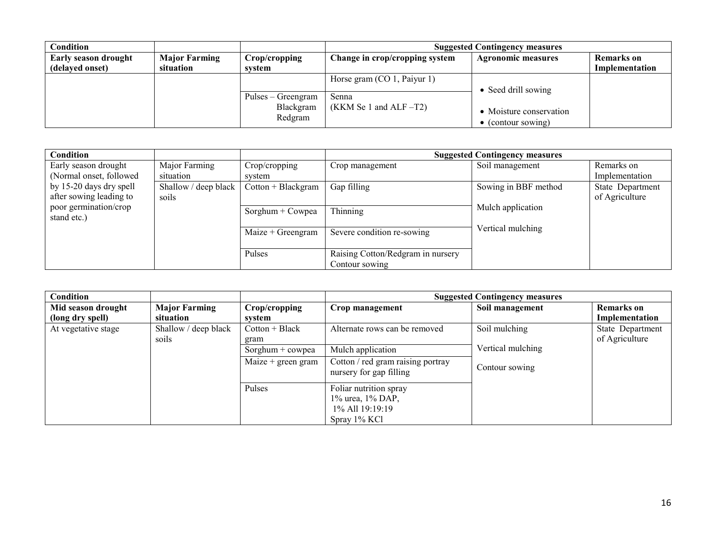|                      |                    | <b>Suggested Contingency measures</b> |                             |                                                   |  |
|----------------------|--------------------|---------------------------------------|-----------------------------|---------------------------------------------------|--|
| <b>Major Farming</b> | Crop/cropping      | Change in crop/cropping system        | <b>Agronomic measures</b>   | <b>Remarks</b> on                                 |  |
| situation            | system             |                                       |                             | Implementation                                    |  |
|                      |                    | Horse gram $(CO 1,$ Paiyur 1)         |                             |                                                   |  |
|                      |                    |                                       |                             |                                                   |  |
|                      | Pulses – Greengram | Senna                                 | • Moisture conservation     |                                                   |  |
|                      | Blackgram          |                                       |                             |                                                   |  |
|                      |                    |                                       |                             |                                                   |  |
|                      |                    | Redgram                               | $(KKM$ Se 1 and ALF $-T2$ ) | • Seed drill sowing<br>$\bullet$ (contour sowing) |  |

| Condition                            |                      |                      |                                                     | <b>Suggested Contingency measures</b> |                  |
|--------------------------------------|----------------------|----------------------|-----------------------------------------------------|---------------------------------------|------------------|
| Early season drought                 | Major Farming        | Crop/cropping        | Crop management                                     | Soil management                       | Remarks on       |
| (Normal onset, followed)             | situation            | system               |                                                     |                                       | Implementation   |
| by 15-20 days dry spell              | Shallow / deep black | $Cottom + Blackgram$ | Gap filling                                         | Sowing in BBF method                  | State Department |
| after sowing leading to              | soils                |                      |                                                     |                                       | of Agriculture   |
| poor germination/crop<br>stand etc.) |                      | Sorghum + Cowpea     | Thinning                                            | Mulch application                     |                  |
|                                      |                      | $Maize + Greengram$  | Severe condition re-sowing                          | Vertical mulching                     |                  |
|                                      |                      | Pulses               | Raising Cotton/Redgram in nursery<br>Contour sowing |                                       |                  |

| Condition           |                      |                      |                                                              | <b>Suggested Contingency measures</b> |                   |
|---------------------|----------------------|----------------------|--------------------------------------------------------------|---------------------------------------|-------------------|
| Mid season drought  | <b>Major Farming</b> | Crop/cropping        | Crop management                                              | Soil management                       | <b>Remarks</b> on |
| (long dry spell)    | situation            | system               |                                                              |                                       | Implementation    |
| At vegetative stage | Shallow / deep black | $Cottom + Black$     | Alternate rows can be removed                                | Soil mulching                         | State Department  |
|                     | soils                | gram                 |                                                              |                                       | of Agriculture    |
|                     |                      | Sorghum $+$ cowpea   | Mulch application                                            | Vertical mulching                     |                   |
|                     |                      | Maize $+$ green gram | Cotton / red gram raising portray<br>nursery for gap filling | Contour sowing                        |                   |
|                     |                      | Pulses               | Foliar nutrition spray                                       |                                       |                   |
|                     |                      |                      | 1% urea, 1% DAP,                                             |                                       |                   |
|                     |                      |                      | 1\% All 19:19:19                                             |                                       |                   |
|                     |                      |                      | Spray 1% KCl                                                 |                                       |                   |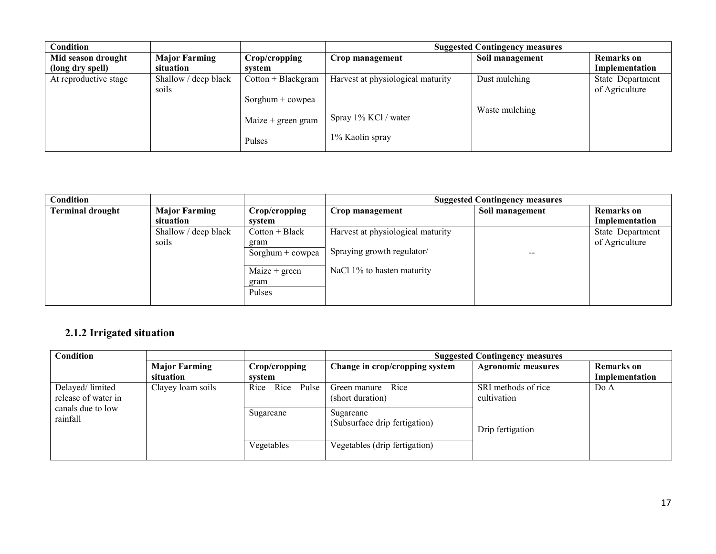|                      |                      | <b>Suggested Contingency measures</b> |                                         |                   |  |
|----------------------|----------------------|---------------------------------------|-----------------------------------------|-------------------|--|
| <b>Major Farming</b> | Crop/cropping        | Crop management                       | Soil management                         | <b>Remarks</b> on |  |
| situation            | system               |                                       |                                         | Implementation    |  |
| Shallow / deep black | $Cottom + Blackgram$ | Harvest at physiological maturity     | Dust mulching                           | State Department  |  |
| soils                |                      |                                       |                                         | of Agriculture    |  |
|                      | Sorghum $+$ cowpea   |                                       |                                         |                   |  |
|                      |                      |                                       | Waste mulching                          |                   |  |
|                      | Maize $+$ green gram |                                       |                                         |                   |  |
|                      |                      |                                       |                                         |                   |  |
|                      | Pulses               |                                       |                                         |                   |  |
|                      |                      |                                       | Spray 1% KCl / water<br>1% Kaolin spray |                   |  |

| Condition               |                      |                    |                                   | <b>Suggested Contingency measures</b> |                   |
|-------------------------|----------------------|--------------------|-----------------------------------|---------------------------------------|-------------------|
| <b>Terminal drought</b> | <b>Major Farming</b> | Crop/cropping      | Crop management                   | Soil management                       | <b>Remarks</b> on |
|                         | situation            | svstem             |                                   |                                       | Implementation    |
|                         | Shallow / deep black | $Cotton + Black$   | Harvest at physiological maturity |                                       | State Department  |
|                         | soils                | gram               |                                   |                                       | of Agriculture    |
|                         |                      | Sorghum $+$ cowpea | Spraying growth regulator/        | --                                    |                   |
|                         |                      | Maize $+$ green    | NaCl 1% to hasten maturity        |                                       |                   |
|                         |                      | gram<br>Pulses     |                                   |                                       |                   |

#### 2.1.2 Irrigated situation

| <b>Condition</b>                       |                                   |                         | <b>Suggested Contingency measures</b>      |                                    |                              |  |
|----------------------------------------|-----------------------------------|-------------------------|--------------------------------------------|------------------------------------|------------------------------|--|
|                                        | <b>Major Farming</b><br>situation | Crop/cropping<br>svstem | Change in crop/cropping system             | <b>Agronomic measures</b>          | Remarks on<br>Implementation |  |
| Delayed/limited<br>release of water in | Clayey loam soils                 | $Rice - Rice - Pulse$   | Green manure – Rice<br>(short duration)    | SRI methods of rice<br>cultivation | DoA                          |  |
| canals due to low<br>rainfall          |                                   | Sugarcane               | Sugarcane<br>(Subsurface drip fertigation) | Drip fertigation                   |                              |  |
|                                        |                                   | Vegetables              | Vegetables (drip fertigation)              |                                    |                              |  |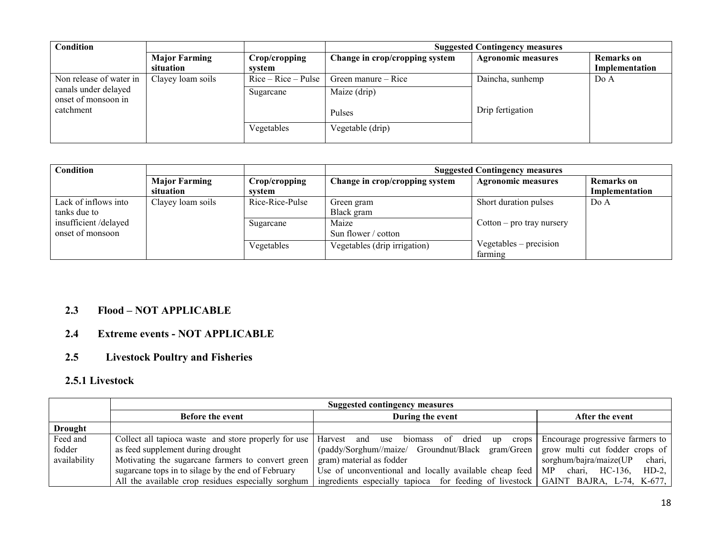| <b>Condition</b>                            |                      |                       | <b>Suggested Contingency measures</b> |                           |                   |  |
|---------------------------------------------|----------------------|-----------------------|---------------------------------------|---------------------------|-------------------|--|
|                                             | <b>Major Farming</b> | Crop/cropping         | Change in crop/cropping system        | <b>Agronomic measures</b> | <b>Remarks</b> on |  |
|                                             | situation            | svstem                |                                       |                           | Implementation    |  |
| Non release of water in                     | Clayey loam soils    | $Rice - Rice - Pulse$ | Green manure – Rice                   | Daincha, sunhemp          | DoA               |  |
| canals under delayed<br>onset of monsoon in |                      | Sugarcane             | Maize (drip)                          |                           |                   |  |
| catchment                                   |                      |                       | Pulses                                | Drip fertigation          |                   |  |
|                                             |                      | Vegetables            | Vegetable (drip)                      |                           |                   |  |

| <b>Condition</b>     |                      |                 | <b>Suggested Contingency measures</b> |                             |                |
|----------------------|----------------------|-----------------|---------------------------------------|-----------------------------|----------------|
|                      | <b>Major Farming</b> | Crop/cropping   | Change in crop/cropping system        | <b>Agronomic measures</b>   | Remarks on     |
|                      | situation            | system          |                                       |                             | Implementation |
| Lack of inflows into | Clayey loam soils    | Rice-Rice-Pulse | Green gram                            | Short duration pulses       | Do A           |
| tanks due to         |                      |                 | Black gram                            |                             |                |
| insufficient/delayed |                      | Sugarcane       | Maize                                 | $Cottom - pro trav$ nursery |                |
| onset of monsoon     |                      |                 | Sun flower / cotton                   |                             |                |
|                      |                      | Vegetables      | Vegetables (drip irrigation)          | $Vegetables - precision$    |                |
|                      |                      |                 |                                       | farming                     |                |

## 2.3 Flood – NOT APPLICABLE

# 2.4 Extreme events - NOT APPLICABLE

## 2.5 Livestock Poultry and Fisheries

#### 2.5.1 Livestock

|                | <b>Suggested contingency measures</b>                                                   |                                                                                    |                                  |  |
|----------------|-----------------------------------------------------------------------------------------|------------------------------------------------------------------------------------|----------------------------------|--|
|                | <b>Before the event</b>                                                                 | During the event                                                                   | After the event                  |  |
| <b>Drought</b> |                                                                                         |                                                                                    |                                  |  |
| Feed and       | Collect all tapioca waste and store properly for use   Harvest and use biomass of dried | crops  <br>up                                                                      | Encourage progressive farmers to |  |
| fodder         | as feed supplement during drought                                                       | (paddy/Sorghum//maize/ Groundnut/Black gram/Green   grow multi cut fodder crops of |                                  |  |
| availability   | Motivating the sugarcane farmers to convert green                                       | gram) material as fodder                                                           | sorghum/bajra/maize(UP<br>chari, |  |
|                | sugarcane tops in to silage by the end of February                                      | Use of unconventional and locally available cheap feed $\vert$ MP chari, HC-136,   | $HD-2$ ,                         |  |
|                | All the available crop residues especially sorghum                                      | ingredients especially tapioca for feeding of livestock GAINT BAJRA, L-74, K-677,  |                                  |  |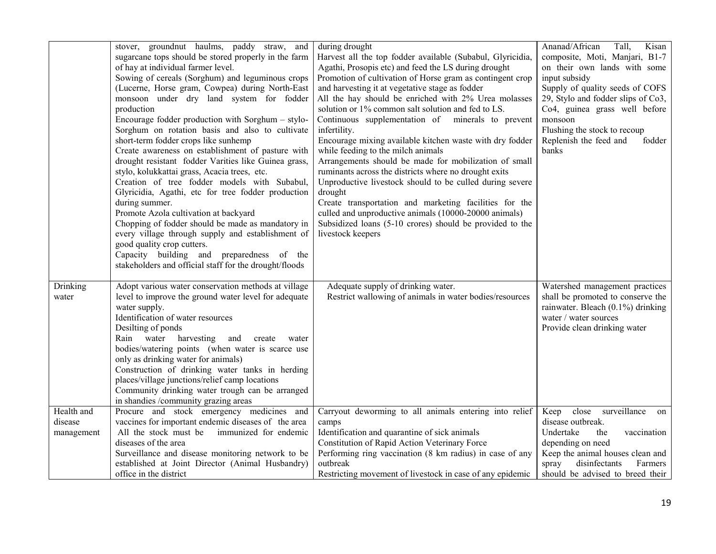|                                     | stover, groundnut haulms, paddy straw, and<br>sugarcane tops should be stored properly in the farm<br>of hay at individual farmer level.<br>Sowing of cereals (Sorghum) and leguminous crops<br>(Lucerne, Horse gram, Cowpea) during North-East<br>monsoon under dry land system for fodder<br>production<br>Encourage fodder production with Sorghum - stylo-<br>Sorghum on rotation basis and also to cultivate<br>short-term fodder crops like sunhemp<br>Create awareness on establishment of pasture with<br>drought resistant fodder Varities like Guinea grass,<br>stylo, kolukkattai grass, Acacia trees, etc.<br>Creation of tree fodder models with Subabul,<br>Glyricidia, Agathi, etc for tree fodder production<br>during summer.<br>Promote Azola cultivation at backyard<br>Chopping of fodder should be made as mandatory in<br>every village through supply and establishment of<br>good quality crop cutters.<br>Capacity building and preparedness of the<br>stakeholders and official staff for the drought/floods | during drought<br>Harvest all the top fodder available (Subabul, Glyricidia,<br>Agathi, Prosopis etc) and feed the LS during drought<br>Promotion of cultivation of Horse gram as contingent crop<br>and harvesting it at vegetative stage as fodder<br>All the hay should be enriched with 2% Urea molasses<br>solution or 1% common salt solution and fed to LS.<br>Continuous supplementation of minerals to prevent<br>infertility.<br>Encourage mixing available kitchen waste with dry fodder<br>while feeding to the milch animals<br>Arrangements should be made for mobilization of small<br>ruminants across the districts where no drought exits<br>Unproductive livestock should to be culled during severe<br>drought<br>Create transportation and marketing facilities for the<br>culled and unproductive animals (10000-20000 animals)<br>Subsidized loans (5-10 crores) should be provided to the<br>livestock keepers | Ananad/African<br>Kisan<br>Tall,<br>composite, Moti, Manjari, B1-7<br>on their own lands with some<br>input subsidy<br>Supply of quality seeds of COFS<br>29, Stylo and fodder slips of Co3,<br>Co4, guinea grass well before<br>monsoon<br>Flushing the stock to recoup<br>Replenish the feed and<br>fodder<br>banks |
|-------------------------------------|----------------------------------------------------------------------------------------------------------------------------------------------------------------------------------------------------------------------------------------------------------------------------------------------------------------------------------------------------------------------------------------------------------------------------------------------------------------------------------------------------------------------------------------------------------------------------------------------------------------------------------------------------------------------------------------------------------------------------------------------------------------------------------------------------------------------------------------------------------------------------------------------------------------------------------------------------------------------------------------------------------------------------------------|----------------------------------------------------------------------------------------------------------------------------------------------------------------------------------------------------------------------------------------------------------------------------------------------------------------------------------------------------------------------------------------------------------------------------------------------------------------------------------------------------------------------------------------------------------------------------------------------------------------------------------------------------------------------------------------------------------------------------------------------------------------------------------------------------------------------------------------------------------------------------------------------------------------------------------------|-----------------------------------------------------------------------------------------------------------------------------------------------------------------------------------------------------------------------------------------------------------------------------------------------------------------------|
| Drinking<br>water                   | Adopt various water conservation methods at village<br>level to improve the ground water level for adequate<br>water supply.<br>Identification of water resources<br>Desilting of ponds<br>Rain water harvesting<br>and<br>create<br>water<br>bodies/watering points (when water is scarce use<br>only as drinking water for animals)<br>Construction of drinking water tanks in herding<br>places/village junctions/relief camp locations<br>Community drinking water trough can be arranged<br>in shandies /community grazing areas                                                                                                                                                                                                                                                                                                                                                                                                                                                                                                  | Adequate supply of drinking water.<br>Restrict wallowing of animals in water bodies/resources                                                                                                                                                                                                                                                                                                                                                                                                                                                                                                                                                                                                                                                                                                                                                                                                                                          | Watershed management practices<br>shall be promoted to conserve the<br>rainwater. Bleach (0.1%) drinking<br>water / water sources<br>Provide clean drinking water                                                                                                                                                     |
| Health and<br>disease<br>management | Procure and stock emergency medicines and<br>vaccines for important endemic diseases of the area<br>All the stock must be<br>immunized for endemic<br>diseases of the area<br>Surveillance and disease monitoring network to be<br>established at Joint Director (Animal Husbandry)<br>office in the district                                                                                                                                                                                                                                                                                                                                                                                                                                                                                                                                                                                                                                                                                                                          | Carryout deworming to all animals entering into relief Keep close surveillance<br>camps<br>Identification and quarantine of sick animals<br>Constitution of Rapid Action Veterinary Force<br>Performing ring vaccination (8 km radius) in case of any<br>outbreak<br>Restricting movement of livestock in case of any epidemic                                                                                                                                                                                                                                                                                                                                                                                                                                                                                                                                                                                                         | on<br>disease outbreak.<br>the<br>Undertake<br>vaccination<br>depending on need<br>Keep the animal houses clean and<br>disinfectants<br>Farmers<br>spray<br>should be advised to breed their                                                                                                                          |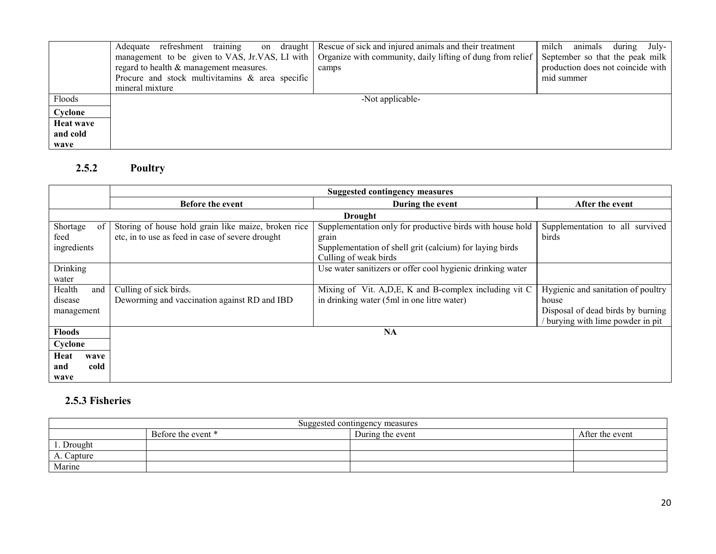|                  | Adequate refreshment training<br>on draught        | Rescue of sick and injured animals and their treatment     | milch animals during July-        |
|------------------|----------------------------------------------------|------------------------------------------------------------|-----------------------------------|
|                  | management to be given to VAS, Jr.VAS, LI with     | Organize with community, daily lifting of dung from relief | September so that the peak milk   |
|                  | regard to health & management measures.            | camps                                                      | production does not coincide with |
|                  | Procure and stock multivitamins $\&$ area specific |                                                            | mid summer                        |
|                  | mineral mixture                                    |                                                            |                                   |
| Floods           |                                                    | -Not applicable-                                           |                                   |
| Cyclone          |                                                    |                                                            |                                   |
| <b>Heat wave</b> |                                                    |                                                            |                                   |
| and cold         |                                                    |                                                            |                                   |
| wave             |                                                    |                                                            |                                   |

#### 2.5.2 Poultry

|                                        | <b>Suggested contingency measures</b>                                                                   |                                                                                                                                                         |                                                                                                                     |  |
|----------------------------------------|---------------------------------------------------------------------------------------------------------|---------------------------------------------------------------------------------------------------------------------------------------------------------|---------------------------------------------------------------------------------------------------------------------|--|
|                                        | <b>Before the event</b>                                                                                 | During the event                                                                                                                                        | After the event                                                                                                     |  |
|                                        |                                                                                                         | <b>Drought</b>                                                                                                                                          |                                                                                                                     |  |
| Shortage<br>of<br>feed<br>ingredients  | Storing of house hold grain like maize, broken rice<br>etc, in to use as feed in case of severe drought | Supplementation only for productive birds with house hold<br>grain<br>Supplementation of shell grit (calcium) for laying birds<br>Culling of weak birds | Supplementation to all survived<br>birds                                                                            |  |
| Drinking<br>water                      |                                                                                                         | Use water sanitizers or offer cool hygienic drinking water                                                                                              |                                                                                                                     |  |
| Health<br>and<br>disease<br>management | Culling of sick birds.<br>Deworming and vaccination against RD and IBD                                  | Mixing of Vit. A, D, E, K and B-complex including vit C<br>in drinking water (5ml in one litre water)                                                   | Hygienic and sanitation of poultry<br>house<br>Disposal of dead birds by burning<br>burying with lime powder in pit |  |
| <b>Floods</b>                          |                                                                                                         | <b>NA</b>                                                                                                                                               |                                                                                                                     |  |
| Cyclone                                |                                                                                                         |                                                                                                                                                         |                                                                                                                     |  |
| Heat<br>wave<br>cold<br>and<br>wave    |                                                                                                         |                                                                                                                                                         |                                                                                                                     |  |

# 2.5.3 Fisheries

| Suggested contingency measures                            |  |  |  |  |
|-----------------------------------------------------------|--|--|--|--|
| Before the event *<br>During the event<br>After the event |  |  |  |  |
| Drought                                                   |  |  |  |  |
| A. Capture                                                |  |  |  |  |
| Marine                                                    |  |  |  |  |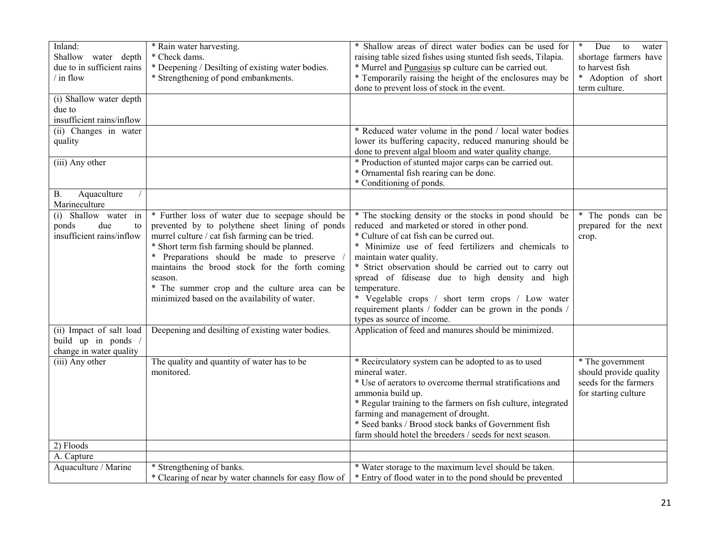| Inland:                    | * Rain water harvesting.                              | * Shallow areas of direct water bodies can be used for        | $\ast$<br>Due<br>to<br>water |
|----------------------------|-------------------------------------------------------|---------------------------------------------------------------|------------------------------|
| Shallow water depth        | * Check dams.                                         | raising table sized fishes using stunted fish seeds, Tilapia. | shortage farmers have        |
| due to in sufficient rains | * Deepening / Desilting of existing water bodies.     | * Murrel and Pungasius sp culture can be carried out.         | to harvest fish              |
| $/$ in flow                | * Strengthening of pond embankments.                  | * Temporarily raising the height of the enclosures may be     | * Adoption of short          |
|                            |                                                       | done to prevent loss of stock in the event.                   | term culture.                |
| (i) Shallow water depth    |                                                       |                                                               |                              |
| due to                     |                                                       |                                                               |                              |
| insufficient rains/inflow  |                                                       |                                                               |                              |
| (ii) Changes in water      |                                                       | * Reduced water volume in the pond / local water bodies       |                              |
| quality                    |                                                       | lower its buffering capacity, reduced manuring should be      |                              |
|                            |                                                       | done to prevent algal bloom and water quality change.         |                              |
| (iii) Any other            |                                                       | * Production of stunted major carps can be carried out.       |                              |
|                            |                                                       | * Ornamental fish rearing can be done.                        |                              |
|                            |                                                       | * Conditioning of ponds.                                      |                              |
| Aquaculture<br><b>B.</b>   |                                                       |                                                               |                              |
| Marineculture              |                                                       |                                                               |                              |
| (i) Shallow water in       | * Further loss of water due to seepage should be      | * The stocking density or the stocks in pond should be        | * The ponds can be           |
| due<br>ponds<br>to         | prevented by to polythene sheet lining of ponds       | reduced and marketed or stored in other pond.                 | prepared for the next        |
| insufficient rains/inflow  | murrel culture / cat fish farming can be tried.       | * Culture of cat fish can be curred out.                      | crop.                        |
|                            | * Short term fish farming should be planned.          | * Minimize use of feed fertilizers and chemicals to           |                              |
|                            | * Preparations should be made to preserve             | maintain water quality.                                       |                              |
|                            | maintains the brood stock for the forth coming        | * Strict observation should be carried out to carry out       |                              |
|                            | season.                                               | spread of fdisease due to high density and high               |                              |
|                            | * The summer crop and the culture area can be         | temperature.                                                  |                              |
|                            | minimized based on the availability of water.         | * Vegelable crops / short term crops / Low water              |                              |
|                            |                                                       | requirement plants / fodder can be grown in the ponds /       |                              |
|                            |                                                       | types as source of income.                                    |                              |
| (ii) Impact of salt load   | Deepening and desilting of existing water bodies.     | Application of feed and manures should be minimized.          |                              |
| build up in ponds /        |                                                       |                                                               |                              |
| change in water quality    |                                                       |                                                               |                              |
| (iii) Any other            | The quality and quantity of water has to be           | * Recirculatory system can be adopted to as to used           | * The government             |
|                            | monitored.                                            | mineral water.                                                | should provide quality       |
|                            |                                                       | * Use of aerators to overcome thermal stratifications and     | seeds for the farmers        |
|                            |                                                       | ammonia build up.                                             | for starting culture         |
|                            |                                                       | * Regular training to the farmers on fish culture, integrated |                              |
|                            |                                                       | farming and management of drought.                            |                              |
|                            |                                                       | * Seed banks / Brood stock banks of Government fish           |                              |
|                            |                                                       | farm should hotel the breeders / seeds for next season.       |                              |
| 2) Floods                  |                                                       |                                                               |                              |
| A. Capture                 |                                                       |                                                               |                              |
| Aquaculture / Marine       | * Strengthening of banks.                             | * Water storage to the maximum level should be taken.         |                              |
|                            | * Clearing of near by water channels for easy flow of | * Entry of flood water in to the pond should be prevented     |                              |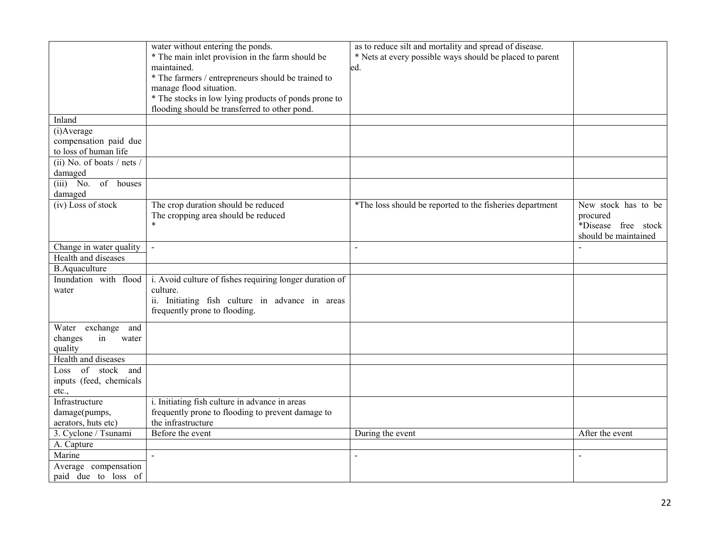|                                                | water without entering the ponds.                           | as to reduce silt and mortality and spread of disease.   |                      |
|------------------------------------------------|-------------------------------------------------------------|----------------------------------------------------------|----------------------|
|                                                | * The main inlet provision in the farm should be            | * Nets at every possible ways should be placed to parent |                      |
|                                                | maintained.                                                 | ed.                                                      |                      |
|                                                | * The farmers / entrepreneurs should be trained to          |                                                          |                      |
|                                                | manage flood situation.                                     |                                                          |                      |
|                                                | * The stocks in low lying products of ponds prone to        |                                                          |                      |
|                                                | flooding should be transferred to other pond.               |                                                          |                      |
| Inland                                         |                                                             |                                                          |                      |
| (i) Average                                    |                                                             |                                                          |                      |
| compensation paid due                          |                                                             |                                                          |                      |
| to loss of human life                          |                                                             |                                                          |                      |
| (ii) No. of boats $/$ nets $/$                 |                                                             |                                                          |                      |
| damaged                                        |                                                             |                                                          |                      |
| $(iii)$ No. of houses                          |                                                             |                                                          |                      |
| damaged                                        |                                                             |                                                          |                      |
| (iv) Loss of stock                             | The crop duration should be reduced                         | *The loss should be reported to the fisheries department | New stock has to be  |
|                                                | The cropping area should be reduced<br>$\star$              |                                                          | procured             |
|                                                |                                                             |                                                          | *Disease free stock  |
|                                                |                                                             |                                                          | should be maintained |
| Change in water quality<br>Health and diseases | $\overline{\phantom{a}}$                                    | $\sim$                                                   | $\sim$               |
|                                                |                                                             |                                                          |                      |
| <b>B.Aquaculture</b>                           |                                                             |                                                          |                      |
| Inundation with flood                          | i. Avoid culture of fishes requiring longer duration of     |                                                          |                      |
| water                                          | culture.<br>ii. Initiating fish culture in advance in areas |                                                          |                      |
|                                                |                                                             |                                                          |                      |
|                                                | frequently prone to flooding.                               |                                                          |                      |
| Water exchange<br>and                          |                                                             |                                                          |                      |
| changes<br>in<br>water                         |                                                             |                                                          |                      |
| quality                                        |                                                             |                                                          |                      |
| Health and diseases                            |                                                             |                                                          |                      |
| Loss of stock and                              |                                                             |                                                          |                      |
| inputs (feed, chemicals                        |                                                             |                                                          |                      |
| etc.,                                          |                                                             |                                                          |                      |
| Infrastructure                                 | i. Initiating fish culture in advance in areas              |                                                          |                      |
| damage(pumps,                                  | frequently prone to flooding to prevent damage to           |                                                          |                      |
| aerators, huts etc)                            | the infrastructure                                          |                                                          |                      |
| 3. Cyclone / Tsunami                           | Before the event                                            | During the event                                         | After the event      |
| A. Capture                                     |                                                             |                                                          |                      |
| Marine                                         | $\blacksquare$                                              |                                                          | $\blacksquare$       |
| Average compensation                           |                                                             |                                                          |                      |
| paid due to loss of                            |                                                             |                                                          |                      |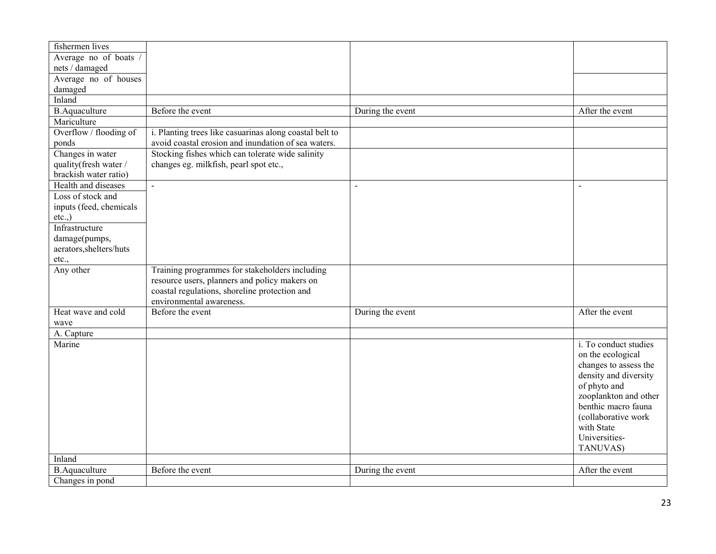| fishermen lives         |                                                         |                  |                       |
|-------------------------|---------------------------------------------------------|------------------|-----------------------|
| Average no of boats     |                                                         |                  |                       |
| nets / damaged          |                                                         |                  |                       |
| Average no of houses    |                                                         |                  |                       |
| damaged                 |                                                         |                  |                       |
| Inland                  |                                                         |                  |                       |
| <b>B.Aquaculture</b>    | Before the event                                        | During the event | After the event       |
| Mariculture             |                                                         |                  |                       |
| Overflow / flooding of  | i. Planting trees like casuarinas along coastal belt to |                  |                       |
| ponds                   | avoid coastal erosion and inundation of sea waters.     |                  |                       |
| Changes in water        | Stocking fishes which can tolerate wide salinity        |                  |                       |
| quality(fresh water /   | changes eg. milkfish, pearl spot etc.,                  |                  |                       |
| brackish water ratio)   |                                                         |                  |                       |
| Health and diseases     | $\mathcal{L}^{\mathcal{L}}$                             | $\blacksquare$   | $\blacksquare$        |
| Loss of stock and       |                                                         |                  |                       |
| inputs (feed, chemicals |                                                         |                  |                       |
| $etc.,$ )               |                                                         |                  |                       |
| Infrastructure          |                                                         |                  |                       |
| damage(pumps,           |                                                         |                  |                       |
| aerators, shelters/huts |                                                         |                  |                       |
| etc.,                   |                                                         |                  |                       |
| Any other               | Training programmes for stakeholders including          |                  |                       |
|                         | resource users, planners and policy makers on           |                  |                       |
|                         | coastal regulations, shoreline protection and           |                  |                       |
|                         | environmental awareness.                                |                  |                       |
| Heat wave and cold      | Before the event                                        | During the event | After the event       |
| wave                    |                                                         |                  |                       |
| A. Capture              |                                                         |                  |                       |
| Marine                  |                                                         |                  | i. To conduct studies |
|                         |                                                         |                  | on the ecological     |
|                         |                                                         |                  | changes to assess the |
|                         |                                                         |                  | density and diversity |
|                         |                                                         |                  | of phyto and          |
|                         |                                                         |                  | zooplankton and other |
|                         |                                                         |                  | benthic macro fauna   |
|                         |                                                         |                  | (collaborative work   |
|                         |                                                         |                  | with State            |
|                         |                                                         |                  | Universities-         |
|                         |                                                         |                  | TANUVAS)              |
| Inland                  |                                                         |                  |                       |
| <b>B.Aquaculture</b>    | Before the event                                        | During the event | After the event       |
| Changes in pond         |                                                         |                  |                       |